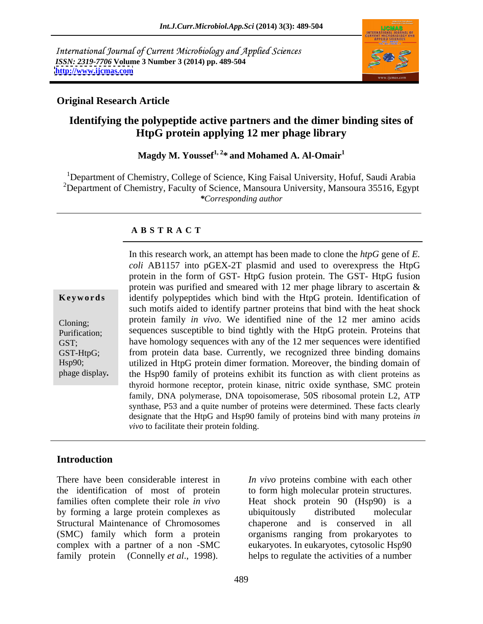International Journal of Current Microbiology and Applied Sciences *ISSN: 2319-7706* **Volume 3 Number 3 (2014) pp. 489-504 <http://www.ijcmas.com>**



### **Original Research Article**

# **Identifying the polypeptide active partners and the dimer binding sites of HtpG protein applying 12 mer phage library**

**Magdy M. Youssef1, 2\* and Mohamed A. Al-Omair<sup>1</sup>**

<sup>1</sup>Department of Chemistry, College of Science, King Faisal University, Hofuf, Saudi Arabia <sup>2</sup>Department of Chemistry, Faculty of Science, Mansoura University, Mansoura 35516, Egypt *\*Corresponding author*

### **A B S T R A C T**

**Ke ywo rds** identify polypeptides which bind with the HtpG protein. Identification of Cloning; protein family *in vivo*. We identified nine of the 12 mer amino acids Purification; sequences susceptible to bind tightly with the HtpG protein. Proteins that GST; have homology sequences with any of the 12 mer sequences were identified GST-HtpG; from protein data base. Currently, we recognized three binding domains Hsp90; utilized in HtpG protein dimer formation. Moreover, the binding domain of In this research work, an attempt has been made to clone the *htpG* gene of *E.*<br>
coli AB1157 into pGEX-2T plasmid and used to overexpress the HtpG<br>
protein in the form of GST-HtpG fusion protein. The GST-HtpG fusion<br>
pro *coli* AB1157 into pGEX-2T plasmid and used to overexpress the HtpG protein in the form of GST- HtpG fusion protein. The GST- HtpG fusion protein was purified and smeared with 12 mer phage library to ascertain & such motifs aided to identify partner proteins that bind with the heat shock the Hsp90 family of proteins exhibit its function as with client proteins as thyroid hormone receptor, protein kinase, nitric oxide synthase, SMC protein family, DNA polymerase, DNA topoisomerase, 50S ribosomal protein L2, ATP synthase, P53 and a quite number of proteins were determined. These facts clearly designate that the HtpG and Hsp90 family of proteins bind with many proteins *in vivo* to facilitate their protein folding.

### **Introduction**

There have been considerable interest in *In vivo* proteins combine with each other the identification of most of protein to form high molecular protein structures. families often complete their role *in vivo* Heat shock protein 90 (Hsp90) is a by forming a large protein complexes as Structural Maintenance of Chromosomes chaperone and is conserved in all (SMC) family which form a protein organisms ranging from prokaryotes to complex with a partner of a non -SMC eukaryotes. In eukaryotes, cytosolic Hsp90 There have been considerable interest in *In vivo* proteins combine with each other<br>the identification of most of protein to form high molecular protein structures.<br>families often complete their role *in vivo* Heat shock p

ubiquitously distributed molecular helps to regulate the activities of a number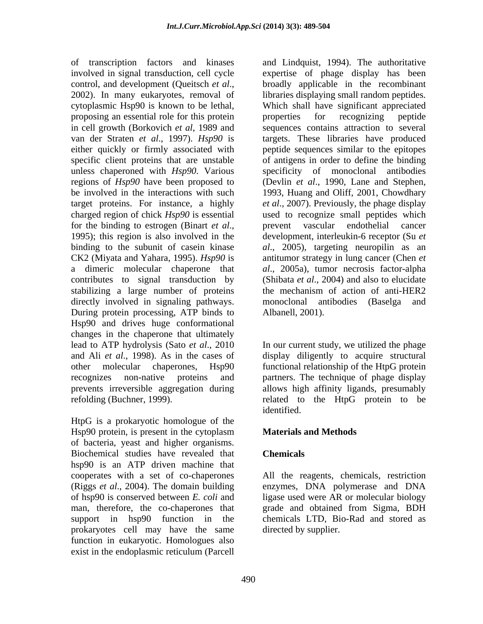proposing an essential role for this protein properties for recognizing peptide contributes to signal transduction by directly involved in signaling pathways. The monoclonal antibodies (Baselga and During protein processing, ATP binds to Hsp90 and drives huge conformational changes in the chaperone that ultimately lead to ATP hydrolysis (Sato *et al*., 2010 In our current study, we utilized the phage and Ali *et al*., 1998). As in the cases of display diligently to acquire structural other molecular chaperones, Hsp90 functional relationship of the HtpG protein recognizes non-native proteins and partners. The technique of phage display prevents irreversible aggregation during allows high affinity ligands, presumably refolding (Buchner, 1999). related to the HtpG protein to be

HtpG is a prokaryotic homologue of the Hsp90 protein, is present in the cytoplasm **Materials and Methods** of bacteria, yeast and higher organisms. Biochemical studies have revealed that hsp90 is an ATP driven machine that cooperates with a set of co-chaperones (Riggs *et al*., 2004). The domain building enzymes, DNA polymerase and DNA of hsp90 is conserved between *E. coli* and ligase used were AR or molecular biology man, therefore, the co-chaperones that grade and obtained from Sigma, BDH support in hsp90 function in the prokaryotes cell may have the same function in eukaryotic. Homologues also exist in the endoplasmic reticulum (Parcell

of transcription factors and kinases and Lindquist, 1994). The authoritative involved in signal transduction, cell cycle expertise of phage display has been control, and development (Queitsch *et al*., broadly applicable in the recombinant 2002). In many eukaryotes, removal of libraries displaying small random peptides. cytoplasmic Hsp90 is known to be lethal, Which shall have significant appreciated in cell growth (Borkovich *et al*, 1989 and sequences contains attraction to several van der Straten *et al*., 1997). *Hsp90* is targets. These libraries have produced either quickly or firmly associated with peptide sequences similar to the epitopes specific client proteins that are unstable of antigens in order to define the binding unless chaperoned with *Hsp90*. Various specificity of monoclonal antibodies regions of *Hsp90* have been proposed to (Devlin *et al*., 1990, Lane and Stephen, be involved in the interactions with such 1993, Huang and Oliff, 2001, Chowdhary target proteins. For instance, a highly *et al*.*,* 2007). Previously, the phage display charged region of chick *Hsp90* is essential used to recognize small peptides which for the binding to estrogen (Binart *et al.*, prevent vascular endothelial cancer 1995); this region is also involved in the development, interleukin-6 receptor (Su *et* binding to the subunit of casein kinase *al*., 2005), targeting neuropilin as an CK2 (Miyata and Yahara, 1995). *Hsp90* is antitumor strategy in lung cancer (Chen *et* a dimeric molecular chaperone that *al*., 2005a), tumor necrosis factor-alpha stabilizing a large number of proteins the mechanism of action of anti-HER2 broadly applicable in the recombinant libraries displaying small random peptides. properties for recognizing peptide prevent vascular endothelial cancer development, interleukin-6 receptor (Su *et*  (Shibata *et al*., 2004) and also to elucidate monoclonal antibodies (Baselga Albanell, 2001).

identified.

## **Materials and Methods**

## **Chemicals**

All the reagents, chemicals, restriction grade and obtained from Sigma, BDH chemicals LTD, Bio-Rad and stored as directed by supplier.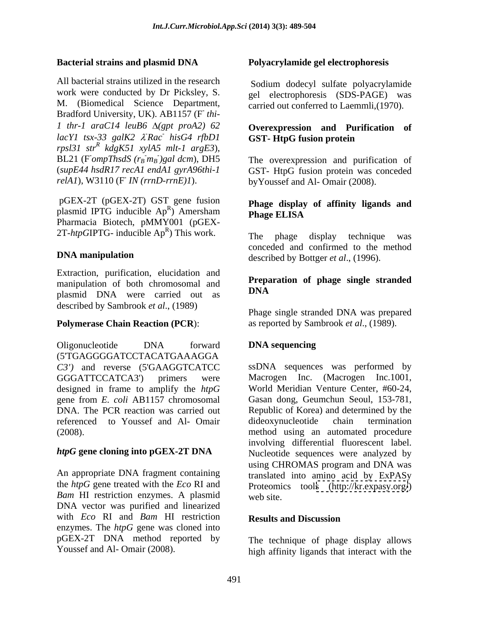All bacterial strains utilized in the research Sodium dodecyl sulfate polyacrylamide work were conducted by Dr Picksley, S. M. (Biomedical Science Department, Bradford University, UK). AB1157 (F**-** *1 thr-1*  $\ar{a}C14$   $\ar{a}B6$   $\Delta(\text{gpt } \text{prod2})$  62 *lacY1 tsx-33 galK2*  $\lambda$ *Rac hisG4 rfbD1* **GST- HtpG fusion protein** *rpsl31 str R kdgK51 xylA5 mlt-1 argE3*), BL21 (F *ompThsdS*  $(r_B \cdot m_B)$  *gal dcm*), DH5<br>(*supE44 hsdR17 recA1 endA1 gyrA96thi-1* (*supE44 hsdR17 recA1 endA1 gyrA96thi-1*  GST- HtpG fusion protein was conceded *relA1*), W3110 (F *IN* (*rrnD-rrnE*)*I*).

 pGEX-2T (pGEX-2T) GST gene fusion plasmid IPTG inducible  $Ap^R$ ) Amersham **Phage ELISA** Pharmacia Biotech, pMMY001 (pGEX- 2T- $htp$ GIPTG- inducible  $Ap^R$ ) This work. The phage display technique was

Extraction, purification, elucidation and manipulation of both chromosomal and **Preparational Contract Contract Contract Contract Contract Contract Contract Contract Contract Contract Contract Contract Contract Contract Contract Contract Contract Contract Contract** plasmid DNA were carried out as described by Sambrook *et al*., (1989)

### **Polymerase Chain Reaction (PCR**):

Oligonucleotide DNA forward **DNA sequencing** (5'TGAGGGGATCCTACATGAAAGGA designed in frame to amplify the *htpG* gene from *E. coli* AB1157 chromosomal referenced to Youssef and Al- Omair

*Bam* HI restriction enzymes. A plasmid web site DNA vector was purified and linearized with *Eco* RI and *Bam* HI restriction **Results and Discussion** enzymes. The *htpG* gene was cloned into pGEX-2T DNA method reported by

### **Bacterial strains and plasmid DNA Polyacrylamide gel electrophoresis**

 *thi* gel electrophoresis (SDS-PAGE) was carried out conferred to Laemmli,(1970).

### *-Rac-hisG4 rfbD1* **- GST-HtpG fusion protein Overexpression and Purification of GST- HtpG fusion protein**

*m<sub>B</sub>*)gal *dcm*), DH5 The overexpression and purification of  *IN (rrnD-rrnE)1*). byYoussef and Al- Omair (2008).

### R ) Amersham  $\mathbf{p}_{\mathbf{h}\mathbf{a}\mathbf{a}\mathbf{e}} \mathbf{E} \mathbf{I} \mathbf{I} \mathbf{S} \mathbf{A}$ **Phage display of affinity ligands and Phage ELISA**

) This work. The phage display technique was **DNA manipulation**<br>described by Bottger *et al.*, (1996). The phage display technique was conceded and confirmed to the method

### **Preparation of phage single stranded DNA**

Phage single stranded DNA was prepared as reported by Sambrook *et al*., (1989).

## **DNA sequencing**

*C3')* and reverse (5'GAAGGTCATCC ssDNA sequences was performed by GGGATTCCATCA3') primers were Macrogen Inc. (Macrogen Inc.1001, DNA. The PCR reaction was carried out Republic of Korea) and determined by the (2008). method using an automated procedure *htpG* **gene cloning into pGEX-2T DNA** Nucleotide sequences were analyzed by An appropriate DNA fragment containing translated into amino acid by ExPASy the *htpG* gene treated with the *Eco* RI and Proteomics tools [\(http://kr.expasy.org/](http://kr.expasy.org/)) World Meridian Venture Center, #60-24, Gasan dong, Geumchun Seoul, 153-781, dideoxynucleotide chain termination involving differential fluorescent label. using CHROMAS program and DNA was web site.

### **Results and Discussion**

Youssef and Al- Omair (2008). high affinity ligands that interact with the The technique of phage display allows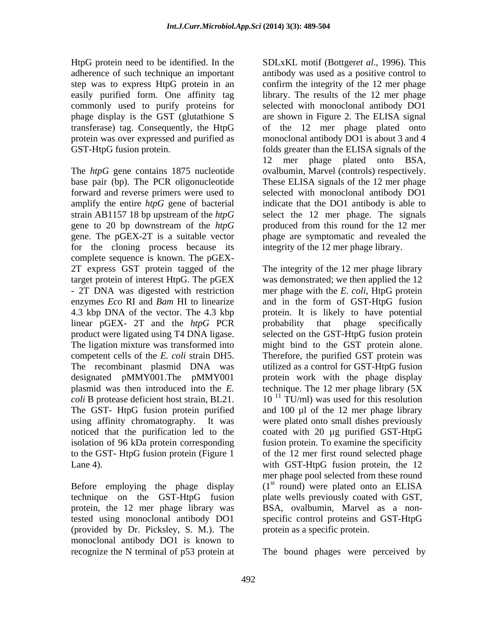commonly used to purify proteins for

The *htpG* gene contains 1875 nucleotide ovalbumin, Marvel (controls) respectively. base pair (bp). The PCR oligonucleotide These ELISA signals of the 12 mer phage forward and reverse primers were used to selected with monoclonal antibody DO1 amplify the entire *htpG* gene of bacterial strain AB1157 18 bp upstream of the *htpG* gene to 20 bp downstream of the *htpG* produced from this round for the 12 mer gene. The pGEX-2T is a suitable vector phage are symptomatic and revealed the for the cloning process because its complete sequence is known. The pGEX- 2T express GST protein tagged of the target protein of interest HtpG. The pGEX - 2T DNA was digested with restriction enzymes *Eco* RI and *Bam* HI to linearize and in the form of GST-HtpG fusion 4.3 kbp DNA of the vector. The 4.3 kbp linear pGEX- 2T and the *htpG* PCR product were ligated using T4 DNA ligase. selected on the GST-HtpG fusion protein The ligation mixture was transformed into might bind to the GST protein alone. competent cells of the *E. coli* strain DH5. The recombinant plasmid DNA was designated pMMY001.The pMMY001 plasmid was then introduced into the *E. coli* B protease deficient host strain, BL21. The GST- HtpG fusion protein purified and 100 µl of the 12 mer phage library using affinity chromatography. It was noticed that the purification led to the isolation of 96 kDa protein corresponding fusion protein. To examine the specificity to the GST- HtpG fusion protein (Figure 1 Lane 4). Case and the U.S. with GST-HtpG fusion protein, the 12

Before employing the phage display  $(1<sup>st</sup>$  round) were plated onto an ELISA technique on the GST-HtpG fusion protein, the 12 mer phage library was tested using monoclonal antibody DO1 (provided by Dr. Picksley, S. M.). The monoclonal antibody DO1 is known to

HtpG protein need to be identified. In the SDLxKL motif (Bottger*et al*., 1996). This adherence of such technique an important antibody was used as a positive control to step was to express HtpG protein in an aconfirm the integrity of the 12 mer phage easily purified form. One affinity tag library. The results of the 12 mer phage phage display is the GST (glutathione S are shown in Figure 2. The ELISA signal transferase) tag. Consequently, the HtpG of the 12 mer phage plated onto protein was over expressed and purified as monoclonal antibody DO1 is about 3 and 4 GST-HtpG fusion protein. folds greater than the ELISA signals of the selected with monoclonal antibody DO1 12 mer phage plated onto BSA, ovalbumin, Marvel (controls) respectively. These ELISA signals of the <sup>12</sup> mer phage indicate that the DO1 antibody is able to select the 12 mer phage. The signals integrity of the 12 mer phage library.

> The integrity of the 12 mer phage library was demonstrated; we then applied the 12 mer phage with the *E. coli*, HtpG protein protein. It is likely to have potential probability that phage specifically Therefore, the purified GST protein was utilized as a control for GST-HtpG fusion protein work with the phage display technique. The 12 mer phage library (5X  $10<sup>11</sup>$  TU/ml) was used for this resolution were plated onto small dishes previously coated with 20 µg purified GST-HtpG of the 12 mer first round selected phage mer phage pool selected from these round  $(1<sup>st</sup>$  round) were plated onto an ELISA plate wells previously coated with GST, BSA, ovalbumin, Marvel as a non specific control proteins and GST-HtpG protein as a specific protein.

recognize the N terminal of p53 protein at The bound phages were perceived by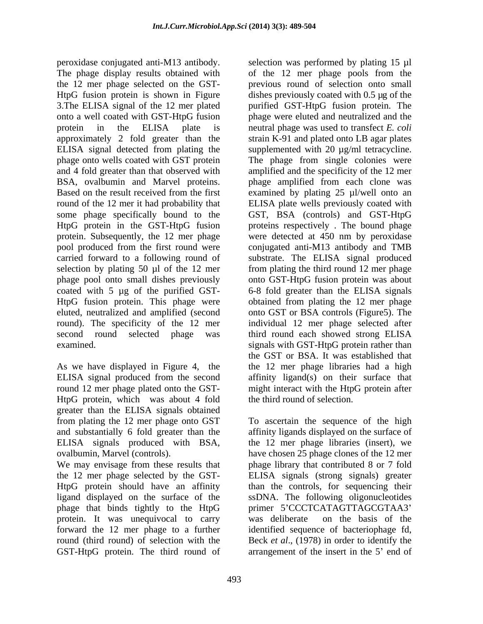peroxidase conjugated anti-M13 antibody. Selection was performed by plating 15 µl The phage display results obtained with of the 12 mer phage pools from the the 12 mer phage selected on the GST- HtpG fusion protein is shown in Figure dishes previously coated with 0.5 µg of the 3.The ELISA signal of the 12 mer plated onto a well coated with GST-HtpG fusion phage were eluted and neutralized and the protein in the ELISA plate is neutral phage was used to transfect *E. coli* approximately 2 fold greater than the strain K-91 and plated onto LB agar plates ELISA signal detected from plating the supplemented with 20 µg/ml tetracycline. phage onto wells coated with GST protein The phage from single colonies were and 4 fold greater than that observed with amplified and the specificity of the 12 mer BSA, ovalbumin and Marvel proteins. phage amplified from each clone was Based on the result received from the first examined by plating 25 µl/well onto an round of the 12 mer it had probability that some phage specifically bound to the GST, BSA (controls) and GST-HtpG HtpG protein in the GST-HtpG fusion proteins respectively . The bound phage protein. Subsequently, the 12 mer phage were detected at 450 nm by peroxidase pool produced from the first round were conjugated anti-M13 antibody and TMB carried forward to a following round of substrate. The ELISA signal produced selection by plating 50 µl of the 12 mer from plating the third round 12 mer phage phage pool onto small dishes previously onto GST-HtpG fusion protein was about coated with 5 µg of the purified GST- 6-8 fold greater than the ELISA signals HtpG fusion protein. This phage were obtained from plating the 12 mer phage eluted, neutralized and amplified (second onto GST or BSA controls (Figure5). The round). The specificity of the 12 mer individual 12 mer phage selected after second round selected phage was third round each showed strong ELISA examined. The signals with GST-HtpG protein rather than

As we have displayed in Figure 4, the HtpG protein, which was about 4 fold greater than the ELISA signals obtained from plating the 12 mer phage onto GST To ascertain the sequence of the high and substantially 6 fold greater than the affinity ligands displayed on the surface of ELISA signals produced with BSA, the 12 mer phage libraries (insert), we ovalbumin, Marvel (controls). have chosen 25 phage clones of the 12 mer

We may envisage from these results that phage library that contributed 8 or 7 fold the 12 mer phage selected by the GST- ELISA signals (strong signals) greater HtpG protein should have an affinity than the controls, for sequencing their ligand displayed on the surface of the ssDNA. The following oligonucleotides phage that binds tightly to the HtpG protein. It was unequivocal to carry was deliberate on the basis of the forward the 12 mer phage to a further identified sequence of bacteriophage fd, round (third round) of selection with the Beck *et al*., (1978) in order to identify the

ELISA signal produced from the second affinity ligand(s) on their surface that round 12 mer phage plated onto the GST- might interact with the HtpG protein after previous round of selection onto small purified GST-HtpG fusion protein. The examined by plating 25 µl/well onto an ELISA plate wells previously coated with the GST or BSA. It was established that the 12 mer phage libraries had a high the third round of selection.

GST-HtpG protein. The third round of arrangement of the insert in the 5' end of primer 5'CCCTCATAGTTAGCGTAA3' was deliberate on the basis of the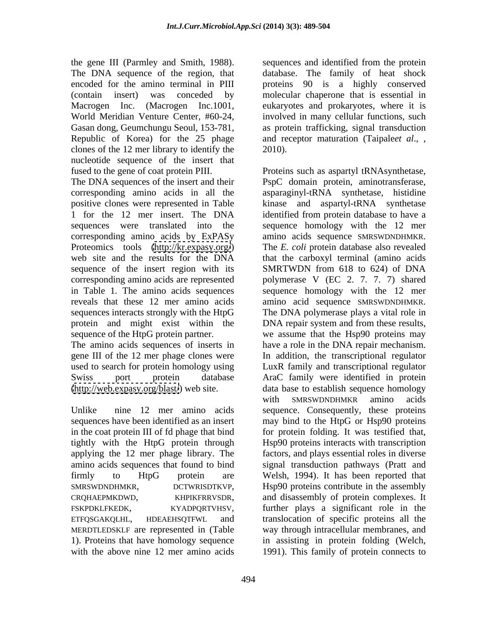the gene III (Parmley and Smith, 1988). sequences and identified from the protein The DNA sequence of the region, that database. The family of heat shock encoded for the amino terminal in PIII proteins 90 is a highly conserved (contain insert) was conceded by molecular chaperone that is essential in Macrogen Inc. (Macrogen Inc.1001, eukaryotes and prokaryotes, where it is World Meridian Venture Center, #60-24, involved in many cellular functions, such Gasan dong, Geumchungu Seoul, 153-781, as protein trafficking, signal transduction Republic of Korea) for the 25 phage and receptor maturation (Taipale*et al*., , clones of the 12 mer library to identify the nucleotide sequence of the insert that

corresponding amino acids by ExPASy amino acids sequence SMRSWDNDHMKR. Proteomics tools [\(http://kr.expasy.org/](http://kr.expasy.org/)) The E. coli protein database also revealed sequence of the insert region with its reveals that these 12 mer amino acids amino acid sequence SMRSWDNDHMKR. sequences interacts strongly with the HtpG The DNA polymerase plays a vital role in protein and might exist within the DNA repair system and from these results, sequence of the HtpG protein partner. We assume that the Hsp90 proteins may

in the coat protein III of fd phage that bind applying the 12 mer phage library. The MERDTLEDSKLF are represented in (Table with the above nine 12 mer amino acids 1991). This family of protein connects to

2010).

fused to the gene of coat protein PIII. Proteins such as aspartyl tRNAsynthetase, The DNA sequences of the insert and their PspC domain protein, aminotransferase, corresponding amino acids in all the asparaginyl-tRNA synthetase, histidine positive clones were represented in Table kinase and aspartyl-tRNA synthetase 1 for the 12 mer insert. The DNA identified from protein database to have a sequences were translated into the sequence homology with the 12 mer web site and the results for the DNA that the carboxyl terminal (amino acids corresponding amino acids are represented polymerase V (EC 2. 7. 7. 7) shared in Table 1. The amino acids sequences sequence homology with the 12 mer The amino acids sequences of inserts in have a role in the DNA repair mechanism. gene III of the 12 mer phage clones were In addition, the transcriptional regulator used to search for protein homology using LuxR family and transcriptional regulator Swiss port protein database AraC family were identified in protein [\(http://web.expasy.org/blast/](http://web.expasy.org/blast/)) web site. data base to establish sequence homology Unlike nine 12 mer amino acids sequence. Consequently, these proteins sequences have been identified as an insert may bind to the HtpG or Hsp90 proteins tightly with the HtpG protein through Hsp90 proteins interacts with transcription amino acids sequences that found to bind signal transduction pathways (Pratt and firmly to HtpG protein are Welsh, 1994). It has been reported that SMRSWDNDHMKR, DCTWRISDTKVP, Hsp90 proteins contribute in the assembly<br>CRQHAEPMKDWD, KHPIKFRRVSDR, and disassembly of protein complexes. It<br>FSKPDKLFKEDK, KYADPQRTVHSV, further plays a significant role in the<br>ETFQSGAKQLHL, H 1). Proteins that have homology sequence in assisting in protein folding (Welch, amino acids sequence SMRSWDNDHMKR. The *E. coli* protein database also revealed SMRTWDN from 618 to 624) of DNA amino acid sequence SMRSWDNDHMKR. The DNA polymerase plays <sup>a</sup> vital role in DNA repair system and from these results, we assume that the Hsp90 proteins may with SMRSWDNDHMKR amino acids for protein folding. It was testified that, factors, and plays essential roles in diverse Hsp90 proteins contribute in the assembly and disassembly of protein complexes. It further plays a significant role in the translocation of specific proteins all the way through intracellular membranes, and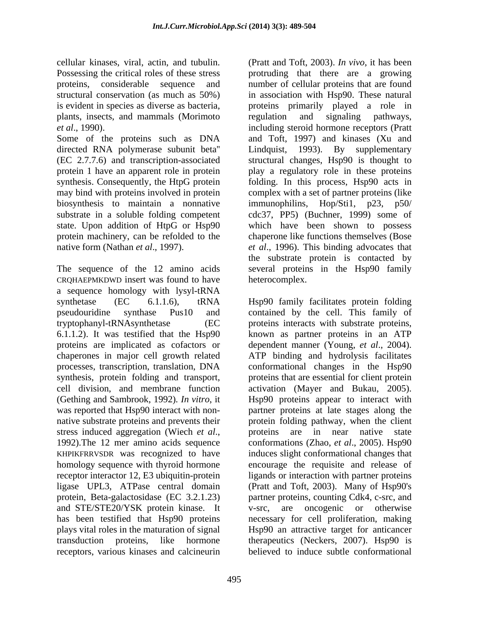cellular kinases, viral, actin, and tubulin. (Pratt and Toft, 2003). *In vivo*, it has been plants, insects, and mammals (Morimoto regulation and signaling pathways,

Some of the proteins such as DNA and Toft, 1997) and kinases (Xu and directed RNA polymerase subunit beta'' (EC 2.7.7.6) and transcription-associated structural changes, Hsp90 is thought to protein 1 have an apparent role in protein play a regulatory role in these proteins synthesis. Consequently, the HtpG protein folding. In this process, Hsp90 acts in may bind with proteins involved in protein biosynthesis to maintain a nonnative immunophilins, Hop/Sti1, p23, p50/ substrate in a soluble folding competent cdc37, PP5) (Buchner, 1999) some of state. Upon addition of HtpG or Hsp90 which have been shown to possess protein machinery, can be refolded to the chaperone like functions themselves (Bose native form (Nathan *et al*., 1997). *et al*., 1996). This binding advocates that

The sequence of the 12 amino acids several proteins in the Hsp90 family CRQHAEPMKDWD insert was found to have a sequence homology with lysyl-tRNA synthetase (EC 6.1.1.6), tRNA Hsp90 family facilitates protein folding pseudouridine synthase Pus10 and contained by the cell. This family of tryptophanyl-tRNAsynthetase (EC proteins interacts with substrate proteins, 6.1.1.2). It was testified that the Hsp90 known as partner proteins in an ATP proteins are implicated as cofactors or dependent manner (Young, *et al.*, 2004). chaperones in major cell growth related processes, transcription, translation, DNA conformational changes in the Hsp90 synthesis, protein folding and transport, proteins that are essential for client protein cell division, and membrane function activation (Mayer and Bukau, 2005). (Gething and Sambrook, 1992)*. In vitro*, it Hsp90 proteins appear to interact with was reported that Hsp90 interact with non-<br>partner proteins at late stages along the native substrate proteins and prevents their protein folding pathway, when the client stress induced aggregation (Wiech *et al.*, proteins are in near native state 1992). The 12 mer amino acids sequence conformations (Zhao, *et al.*, 2005). Hsp90 KHPIKFRRVSDR was recognized to have induces slight conformational changes that homology sequence with thyroid hormone encourage the requisite and release of receptor interactor 12, E3 ubiquitin-protein ligands or interaction with partner proteins ligase UPL3, ATPase central domain (Pratt and Toft, 2003). Many of Hsp90's protein, Beta-galactosidase (EC 3.2.1.23) partner proteins, counting Cdk4, c-src, and and STE/STE20/YSK protein kinase. It v-src, are oncogenic or otherwise has been testified that Hsp90 proteins necessary for cell proliferation, making plays vital roles in the maturation of signal Hsp90 an attractive target for anticancer transduction proteins, like hormone therapeutics (Neckers, 2007). Hsp90 is receptors, various kinases and calcineurin

Possessing the critical roles of these stress protruding that there are a growing proteins, considerable sequence and number of cellular proteins that are found structural conservation (as much as 50%) in association with Hsp90. These natural is evident in species as diverse as bacteria, proteins primarily played a role in *et al*., 1990). including steroid hormone receptors (Pratt regulation and signaling pathways, 1993). By supplementary complex with a set of partner proteins (like the substrate protein is contacted by heterocomplex.

> dependent manner (Young, *et al.*, 2004).<br>ATP binding and hydrolysis facilitates proteins are in near native state conformations (Zhao, *et al*., 2005). Hsp90 believed to induce subtle conformational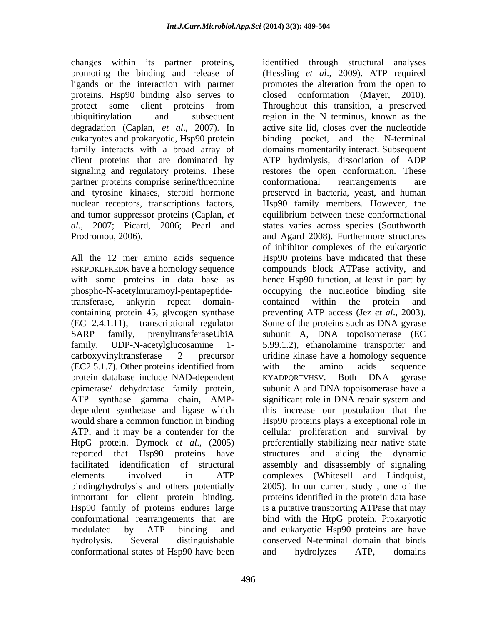changes within its partner proteins, identified through structural analyses ligands or the interaction with partner eukaryotes and prokaryotic, Hsp90 protein partner proteins comprise serine/threonine conformational rearrangements are and tumor suppressor proteins (Caplan, *et* 

All the 12 mer amino acids sequence phospho-N-acetylmuramoyl-pentapeptide-(EC2.5.1.7). Other proteins identified from with the amino acids sequence protein database include NAD-dependent KYADPORTVHSV. Both DNA gyrase reported that Hsp90 proteins have structures and aiding the dynamic conformational states of Hsp90 have been and hydrolyzes ATP, domains

promoting the binding and release of (Hessling *et al*., 2009). ATP required proteins. Hsp90 binding also serves to closed conformation (Mayer, 2010). protect some client proteins from Throughout this transition, a preserved ubiquitinylation and subsequent region in the N terminus, known as the degradation (Caplan, *et al*., 2007). In active site lid, closes over the nucleotide family interacts with a broad array of domains momentarily interact. Subsequent client proteins that are dominated by ATP hydrolysis, dissociation of ADP signaling and regulatory proteins. These restores the open conformation. These and tyrosine kinases, steroid hormone preserved in bacteria, yeast, and human nuclear receptors, transcriptions factors, Hsp90 family members. However, the *al*., 2007; Picard, 2006; Pearl and states varies across species (Southworth Prodromou, 2006). and Agard 2008). Furthermore structures FSKPDKLFKEDK have a homology sequence compounds block ATPase activity, and with some proteins in data base as hence Hsp90 function, at leastin part by transferase, ankyrin repeat domain containing protein 45, glycogen synthase preventing ATP access (Jez *et al*., 2003). (EC 2.4.1.11), transcriptional regulator Some of the proteins such as DNA gyrase SARP family, prenyltransferaseUbiA subunit A, DNA topoisomerase (EC family, UDP-N-acetylglucosamine 1- 5.99.1.2), ethanolamine transporter and carboxyvinyltransferase 2 precursor uridine kinase have a homology sequence epimerase/ dehydratase family protein, subunit A and DNA topoisomerase have a<br>ATP synthase gamma chain, AMP- significant role in DNA repair system and dependent synthetase and ligase which this increase our postulation that the would share a common function in binding Hsp90 proteins plays a exceptional role in ATP, and it may be a contender for the cellular proliferation and survival by HtpG protein. Dymock *et al*., (2005) preferentially stabilizing near native state facilitated identification of structural assembly and disassembly of signaling elements involved in ATP complexes (Whitesell and Lindquist, binding/hydrolysis and others potentially 2005). In our current study , one of the important for client protein binding. proteins identified in the protein data base Hsp90 family of proteins endures large is a putative transporting ATPase that may conformational rearrangements that are bind with the HtpG protein. Prokaryotic modulated by ATP binding and and eukaryotic Hsp90 proteins are have hydrolysis. Several distinguishable conserved N-terminal domain that binds promotes the alteration from the open to Throughout this transition, a preserved binding pocket, and the N-terminal conformational rearrangements are equilibrium between these conformational of inhibitor complexes of the eukaryotic Hsp90 proteins have indicated that these occupying the nucleotide binding site contained within the protein and with the amino acids sequence KYADPQRTVHSV. Both DNA gyrase subunit A and DNA topoisomerase have a significant role in DNA repair system and structures and aiding the dynamic and hydrolyzes ATP, domains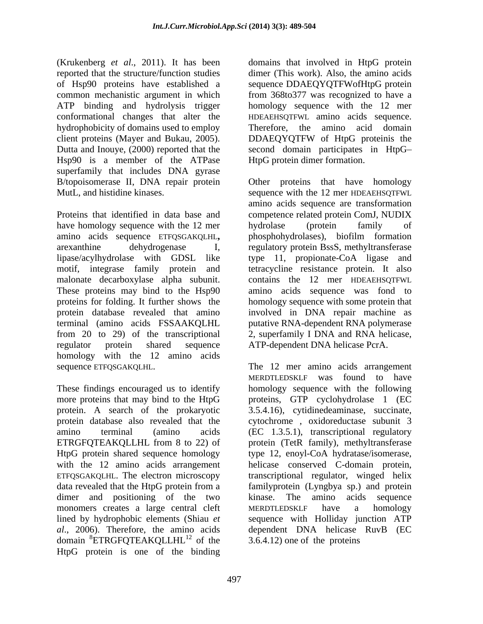(Krukenberg *et al*., 2011). It has been domains that involved in HtpG protein reported that the structure/function studies dimer (This work). Also, the amino acids of Hsp90 proteins have established a sequence DDAEQYQTFWofHtpG protein common mechanistic argument in which from 368to377 was recognized to have a ATP binding and hydrolysis trigger homology sequence with the 12 mer conformational changes that alter the hydrophobicity of domains used to employ Therefore, the amino acid domain client proteins (Mayer and Bukau, 2005). DDAEQYQTFW of HtpG proteinis the Dutta and Inouye, (2000) reported that the second domain participates in HtpG Hsp90 is a member of the ATPase superfamily that includes DNA gyrase B/topoisomerase II, DNA repair protein MutL, and histidine kinases. Sequence with the 12 mer HDEAEHSOTFWL

Proteins that identified in data base and competence related protein ComJ, NUDIX have homology sequence with the 12 mer bydrolase (protein family of amino acids sequence ETFQSGAKQLHL**,** phosphohydrolases), biofilm formation arexanthine dehydrogenase I, regulatory protein BssS, methyltransferase lipase/acylhydrolase with GDSL like type 11, propionate-CoA ligase and motif, integrase family protein and tetracycline resistance protein. It also malonate decarboxylase alpha subunit. These proteins may bind to the Hsp90 amino acids sequence was fond to proteins for folding. It further shows the homology sequence with some protein that protein database revealed that amino involved in DNA repair machine as terminal (amino acids FSSAAKQLHL putative RNA-dependent RNA polymerase from 20 to 29) of the transcriptional 2, superfamily I DNA and RNA helicase, regulator protein shared sequence ATP-dependent DNA helicase PcrA. homology with the 12 amino acids

HtpG protein shared sequence homology type 12, enoyl-CoA hydratase/isomerase, with the 12 amino acids arrangement helicase conserved C-domain protein, dimer and positioning of the two kinase. The amino acids sequence monomers creates a large central cleft MERDTLEDSKLF have a homology domain <sup>8</sup>ETRGFQTEAKQLLHL<sup>12</sup> of the HtpG protein is one of the binding

HDEAEHSQTFWL amino acids sequence. DDAEQYQTFW of HtpG proteinis the HtpG protein dimer formation.

Other proteins that have homology sequence with the <sup>12</sup> mer HDEAEHSQTFWL amino acids sequence are transformation hydrolase (protein family of contains the 12 mer HDEAEHSQTFWL

sequence ETFQSGAKQLHL. The 12 mer amino acids arrangement<br>
MERDTLEDSKLF was found to have<br>
These findings encouraged us to identify homology sequence with the following more proteins that may bind to the HtpG proteins, GTP cyclohydrolase 1 (EC protein. A search of the prokaryotic 3.5.4.16), cytidinedeaminase, succinate, protein database also revealed that the cytochrome , oxidoreductase subunit 3 amino terminal (amino acids (EC 1.3.5.1), transcriptional regulatory ETRGFQTEAKQLLHL from 8 to 22) of protein (TetR family), methyltransferase ETFQSGAKQLHL. The electron microscopy transcriptional regulator,winged helix data revealed that the HtpG protein from a familyprotein (Lyngbya sp.) and protein lined by hydrophobic elements (Shiau *et*  sequence with Holliday junction ATP *al*., 2006). Therefore, the amino acids dependent DNA helicase RuvB (EC of the 3.6.4.12) one of the proteins The 12 mer amino acids arrangement MERDTLEDSKLF was found to have homology sequence with the following protein (TetR family), methyltransferase type 12, enoyl-CoA hydratase/isomerase, helicase conserved C-domain protein, familyprotein (Lyngbya sp.) and protein kinase. The amino acids sequence MERDTLEDSKLF have a homology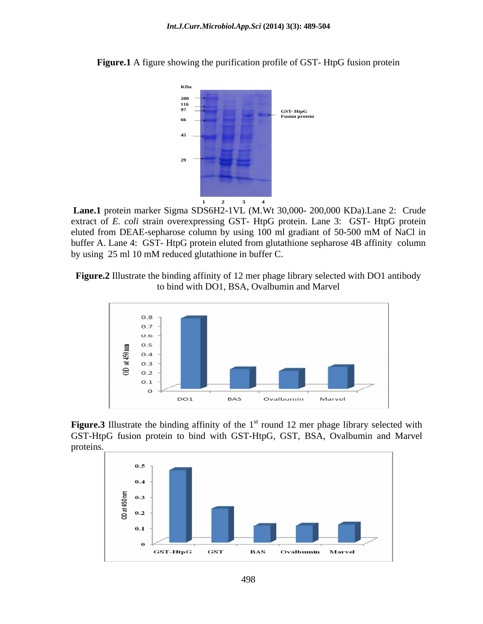

**Figure.1** A figure showing the purification profile of GST- HtpG fusion protein

**Lane.1** protein marker Sigma SDS6H2-1VL (M.Wt 30,000- 200,000 KDa).Lane 2: Crude extract of *E. coli* strain overexpressing GST- HtpG protein. Lane 3: GST- HtpG protein eluted from DEAE-sepharose column by using 100 ml gradiant of 50-500 mM of NaCl in buffer A. Lane 4: GST- HtpG protein eluted from glutathione sepharose 4B affinity column by using 25 ml 10 mM reduced glutathione in buffer C.





**Figure.3** Illustrate the binding affinity of the 1<sup>st</sup> round 12 mer phage library selected with GST-HtpG fusion protein to bind with GST-HtpG, GST, BSA, Ovalbumin and Marvel proteins.

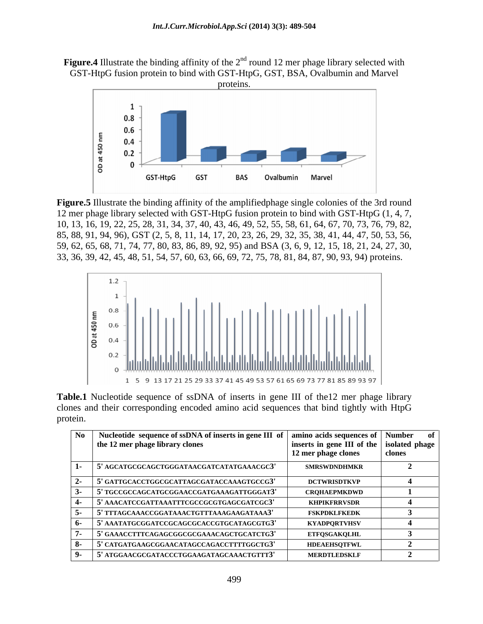



**Figure.5** Illustrate the binding affinity of the amplifiedphage single colonies of the 3rd round 12 mer phage library selected with GST-HtpG fusion protein to bind with GST-HtpG (1, 4, 7, 10, 13, 16, 19, 22, 25, 28, 31, 34, 37, 40, 43, 46, 49, 52, 55, 58, 61, 64, 67, 70, 73, 76, 79, 82, 85, 88, 91, 94, 96), GST (2, 5, 8, 11, 14, 17, 20, 23, 26, 29, 32, 35, 38, 41, 44, 47, 50, 53, 56, 59, 62, 65, 68, 71, 74, 77, 80, 83, 86, 89, 92, 95) and BSA (3, 6, 9, 12, 15, 18, 21, 24, 27, 30, 33, 36, 39, 42, 45, 48, 51, 54, 57, 60, 63, 66, 69, 72, 75, 78, 81, 84, 87, 90, 93, 94) proteins.



**Table.1** Nucleotide sequence of ssDNA of inserts in gene III of the12 mer phage library clones and their corresponding encoded amino acid sequences that bind tightly with HtpG protein.

| No   Nucleotide sequence of ssDNA of inserts in gene III of   amino acids sequences of   Number of<br>the 12 mer phage library clones | inserts in gene III of the   isolated phage  <br>12 mer phage clones |  |
|---------------------------------------------------------------------------------------------------------------------------------------|----------------------------------------------------------------------|--|
| 5' AGCATGCGCAGCTGGGATAACGATCATATGAAACGC3'                                                                                             | <b>SMRSWDNDHMKR</b>                                                  |  |
| $\frac{1}{2}$ S' GATTGCACCTGGCGCATTAGCGATACCAAAGTGCCG3'                                                                               | <b>DCTWRISDTKVP</b>                                                  |  |
| 5' TGCCGCCAGCATGCGGAACCGATGAAAGATTGGGAT3'                                                                                             | <b>CRQHAEPMKDWD</b>                                                  |  |
| ' AAACATCCGATTAAATTTCGCCGCGTGAGCGATCGC3'                                                                                              | KHPIKFRRVSDR                                                         |  |
| 5' TTTAGCAAACCGGATAAACTGTTTAAAGAAGATAAA3'                                                                                             | <b>FSKPDKLFKEDK</b>                                                  |  |
| ' AAATATGCGGATCCGCAGCGCACCGTGCATAGCGTG3'                                                                                              | KYADPQRTVHSV                                                         |  |
| 5' GAAACCTTTCAGAGCGGCGCGAAACAGCTGCATCTG3'                                                                                             | <b>ETFQSGAKQLHL</b>                                                  |  |
| 5' CATGATGAAGCGGAACATAGCCAGACCTTTTGGCTG3'                                                                                             | <b>HDEAEHSOTFWL</b>                                                  |  |
| ' ATGGAACGCGATACCCTGGAAGATAGCAAACTGTTT3'                                                                                              | <b>MERDTLEDSKLF</b>                                                  |  |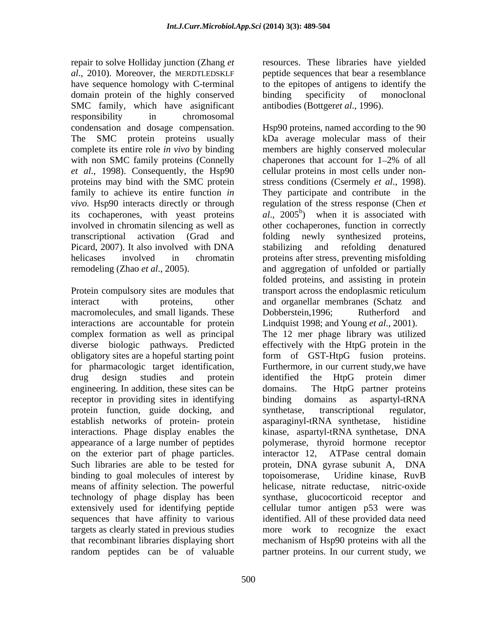repair to solve Holliday junction (Zhang *et*  resources. These libraries have yielded *al*., 2010). Moreover, the MERDTLEDSKLF peptide sequences that bear a resemblance have sequence homology with C-terminal to the epitopes of antigens to identify the domain protein of the highly conserved binding specificity of monoclonal SMC family, which have asignificant responsibility in chromosomal complete its entire role *in vivo* by binding with non SMC family proteins (Connelly chaperones that account for 1-2% of all proteins may bind with the SMC protein stress conditions (Csermely *et al.*, 1998). family to achieve its entire function *in* They participate and contribute in the Picard, 2007). It also involved with DNA stabilizing and refolding denatured

Protein compulsory sites are modules that transport across the endoplasmic reticulum macromolecules, and small ligands. These Dobberstein, 1996; Rutherford and interactions are accountable for protein complex formation as well as principal diverse biologic pathways. Predicted engineering. In addition, these sites can be domains. The HtpG partner proteins receptor in providing sites in identifying binding domains as aspartyl-tRNA protein function, guide docking, and synthetase, transcriptional regulator, establish networks of protein- protein asparaginyl-tRNA synthetase, histidine on the exterior part of phage particles. interactor 12, ATPase central domain binding to goal molecules of interest by topoisomerase, Uridine kinase, RuvB means of affinity selection. The powerful helicase, nitrate reductase, nitric-oxide

binding specificity of monoclonal antibodies (Bottger*et al*., 1996).

condensation and dosage compensation. Hsp90 proteins, named according to the 90 The SMC protein proteins usually kDa average molecular mass of their *et al*., 1998). Consequently, the Hsp90 cellular proteins in most cells under non *vivo*. Hsp90 interacts directly or through regulation of the stress response (Chen *et*  its cochaperones, with yeast proteins  $al$ ,  $2005<sup>b</sup>$ ) when it is associated with involved in chromatin silencing as well as other cochaperones, function in correctly transcriptional activation (Grad and helicases involved in chromatin proteins after stress, preventing misfolding remodeling (Zhao *et al*., 2005). and aggregation of unfolded or partially interact with proteins, other and organellar membranes (Schatz and obligatory sites are a hopeful starting point form of GST-HtpG fusion proteins. for pharmacologic target identification, Furthermore, in our current study,we have drug design studies and protein identified the HtpG protein dimer interactions. Phage display enables the kinase, aspartyl-tRNA synthetase, DNA appearance of a large number of peptides polymerase, thyroid hormone receptor Such libraries are able to be tested for protein, DNA gyrase subunit A, DNA technology of phage display has been synthase, glucocorticoid receptor and extensively used for identifying peptide cellular tumor antigen p53 were was sequences that have affinity to various identified. All of these provided data need targets as clearly stated in previous studies more work to recognize the exact that recombinant libraries displaying short mechanism of Hsp90 proteins with all the random peptides can be of valuable partner proteins. In our current study, wemembers are highly conserved molecular chaperones that account for  $1-2\%$  of all stress conditions (Csermely *et al.*, 1998).<br>They participate and contribute in the folding newly synthesized proteins, stabilizing and refolding denatured folded proteins, and assisting in protein transport across the endoplasmic reticulum Dobberstein,1996; Rutherford and Lindquist 1998; and Young *et al*., 2001). The 12 mer phage library was utilized effectively with the HtpG protein in the identified the HtpG protein dimer domains. The HtpG partner proteins binding domains as aspartyl-tRNA synthetase, transcriptional regulator, asparaginyl-tRNA synthetase, histidine interactor 12, ATPase central domain topoisomerase, Uridine kinase, RuvB helicase, nitrate reductase,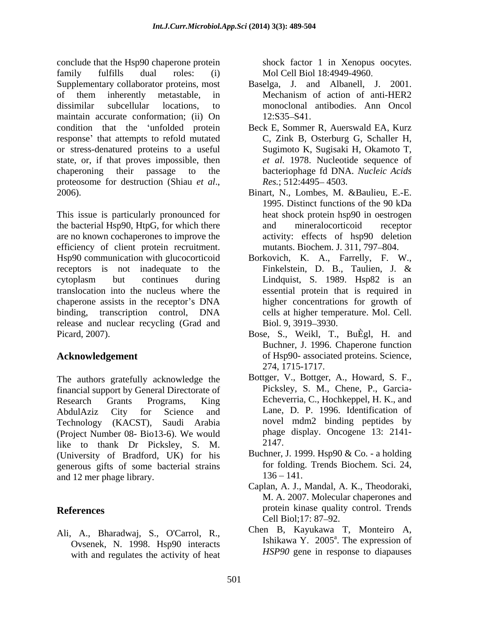conclude that the Hsp90 chaperone protein family fulfills dual roles: (i) Mol Cell Biol 18:4949-4960 Supplementary collaborator proteins, most of them inherently metastable, in dissimilar subcellular locations, to monoclonal antibodies. Ann Oncol maintain accurate conformation; (ii) On 12:S35-S41. condition that the 'unfolded protein Beck E, Sommer R, Auerswald EA, Kurz response' that attempts to refold mutated or stress-denatured proteins to a useful state, or, if that proves impossible, then chaperoning their passage to the bacteriophage fd DNA. *Nucleic Acids* proteosome for destruction (Shiau *et al.*, Res.; 512:4495–4503.<br>2006). Binart, N., Lombes, M. &Baulieu, E.-E.

This issue is particularly pronounced for the bacterial Hsp90, HtpG, for which there and mineral ocorticoid receptor are no known cochaperones to improve the efficiency of client protein recruitment. Hsp90 communication with glucocorticoid Borkovich, K. A., Farrelly, F. W., receptors is not inadequate to the Finkelstein, D. B., Taulien, J. & cytoplasm but continues during Lindquist, S. 1989. Hsp82 is an translocation into the nucleus where the chaperone assists in the receptor's DNA binding, transcription control, DNA release and nuclear recycling (Grad and Biol. 9, 3919–3930. Picard, 2007). Bose, S., Weikl, T., BuÈgl, H. and

The authors gratefully acknowledge the financial support by General Directorate of Research Grants Programs, King Echeverria, C., Hochkeppel, H. K., and AbdulAziz City for Science and Lane, D. P. 1996. Identification of Technology (KACST), Saudi Arabia (Project Number 08- Bio13-6). We would phage<br>like to thank Dr. Picksley S. M. 2147. like to thank Dr Picksley, S. M. (University of Bradford, UK) for his generous gifts of some bacterial strains for folding<br>and 12 mer phage library 136 – 141. and 12 mer phage library.

Ali, A., Bharadwaj, S., O'Carrol, R., Ovsenek, N. 1998. Hsp90 interacts with and regulates the activity of heat

shock factor 1 in Xenopus oocytes.

- Baselga, J. and Albanell, J. 2001. Mechanism of action of anti-HER2 12:S35 S41.
- C, Zink B, Osterburg G, Schaller H, Sugimoto K, Sugisaki H, Okamoto T, *et al*. 1978. Nucleotide sequence of *Res.*; 512:4495-4503.
- Binart, N., Lombes, M. &Baulieu, E.-E. 1995. Distinct functions of the 90 kDa heat shock protein hsp90 in oestrogen and mineralocorticoid receptor activity: effects of hsp90 deletion mutants. Biochem. J. 311, 797-804.
- Finkelstein, D. B., Taulien, J. & essential protein that is required in higher concentrations for growth of cells at higher temperature. Mol. Cell. Biol. 9, 3919–3930.
- Acknowledgement of Hsp90- associated proteins. Science, Buchner, J. 1996. Chaperone function 274, 1715-1717.
	- Bottger, V., Bottger, A., Howard, S. F., Picksley, S. M., Chene, P., Garcia- Lane, D. P. 1996. Identification of novel mdm2 binding peptides by phage display. Oncogene 13: 2141- 2147.
	- Buchner, J. 1999. Hsp90 & Co. a holding for folding. Trends Biochem. Sci. 24,  $136 - 141.$
- **References** protein kinase quality control. Trends Caplan, A. J., Mandal, A. K., Theodoraki, M. A. 2007. Molecular chaperones and Cell Biol;17: 87–92.
	- Chen B, Kayukawa T, Monteiro A, Ishikawa Y. 2005<sup>a</sup>. The expression of  $^a$  The expression of . The expression of *HSP90* gene in response to diapauses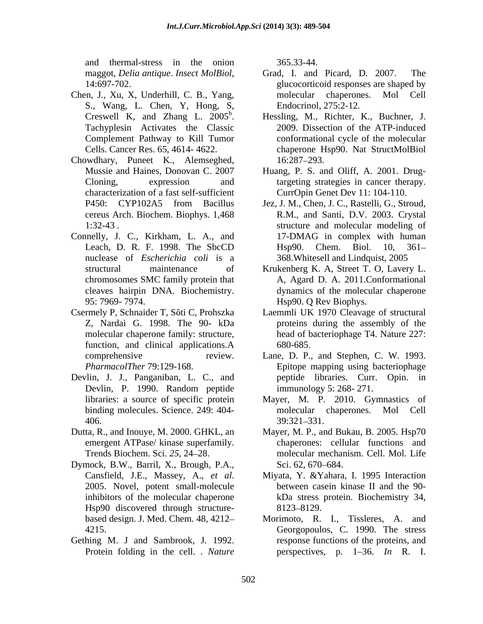and thermal-stress in the onion

- Chen, J., Xu, X, Underhill, C. B., Yang, S., Wang, L. Chen, Y, Hong, S,
- Chowdhary, Puneet K., Alemseghed, characterization of a fast self-sufficient
- Connelly, J. C., Kirkham, L. A., and nuclease of *Escherichia coli* is a
- Csermely P, Schnaider T, Sőti C, Prohszka Laemmli UK 1970 Cleavage of structural
- Devlin, J. J., Panganiban, L. C., and
- 
- Dymock, B.W., Barril, X., Brough, P.A., inhibitors of the molecular chaperone Hsp90 discovered through structure-<br>8123–8129.
- Gething M. J and Sambrook, J. 1992. Protein folding in the cell. . *Nature*

365.33-44.

- maggot, *Delia antique*. *Insect MolBiol*, Grad, I. and Picard, D. 2007. The 14:697-702. Grad, I. and Picard, D. 2007. The glucocorticoid responses are shaped by molecular chaperones. Mol Cell Endocrinol, 275:2-12.
- Creswell K, and Zhang L.  $2005^b$ . Hessling, M., Richter, K., Buchner, J. Creswell K, and Zhang L. 2005<sup>b</sup>. Hessling, M., Richter, K., Buchner, J. Tachyplesin Activates the Classic 2009. Dissection of the ATP-induced Complement Pathway to Kill Tumor conformational cycle of the molecular Cells. Cancer Res. 65, 4614- 4622. chaperone Hsp90. Nat StructMolBiol 2009. Dissection of the ATP-induced 16:287 293.
- Mussie and Haines, Donovan C. 2007 Huang, P. S. and Oliff, A. 2001. Drug-Cloning, expression and targeting strategies in cancer therapy. CurrOpin Genet Dev 11: 104-110
- P450: CYP102A5 from Bacillus Jez, J. M., Chen, J. C., Rastelli, G., Stroud, cereus Arch. Biochem. Biophys. 1,468 R.M., and Santi, D.V. 2003. Crystal 1:32-43 structure and molecular modeling of Leach, D. R. F. 1998. The SbcCD Hsp90. Chem. Biol. 10, 361-17-DMAG in complex with human Hsp90. Chem. Biol. 10, 361 368.Whitesell and Lindquist, 2005
- structural maintenance of Krukenberg K. A, Street T. O, Lavery L. chromosomes SMC family protein that A, Agard D. A. 2011.Conformational cleaves hairpin DNA. Biochemistry. dynamics of the molecular chaperone 95: 7969- 7974. Hsp90. Q Rev Biophys.
- Z, Nardai G. 1998. The 90- kDa proteins during the assembly of the molecular chaperone family: structure, head of bacteriophage T4. Nature 227: function, and clinical applications.A 680-685. 680-685
- comprehensive review. Lane, D. P., and Stephen, C. W. 1993. *PharmacolTher* 79:129-168. Epitope mapping using bacteriophage Devlin, P. 1990. Random peptide peptide libraries. Curr. Opin. in immunology 5: 268- 271.
- libraries: a source of specific protein Mayer, M. P. 2010. Gymnastics of binding molecules. Science. 249: 404- molecular chaperones. Mol Cell 406. 39:321-331. molecular chaperones. 39:321 331.
- Dutta, R., and Inouye, M. 2000. GHKL, an Mayer, M. P., and Bukau, B. 2005. Hsp70 emergent ATPase/ kinase superfamily. chaperones: cellular functions and Trends Biochem. Sci. *25*, 24 28. molecular mechanism. Cell. Mol. Life Sci. 62, 670–684.
	- Cansfield, J.E., Massey, A., *et al*. 2005. Novel, potent small-molecule Miyata, Y. &Yahara, I. 1995 Interaction between casein kinase II and the 90 kDa stress protein. Biochemistry 34, 8123–8129.
	- based design. J. Med. Chem. 48, 4212 Morimoto, R. I., Tissleres, A. and 4215. Georgopoulos, C. 1990. The stress response functions of the proteins, and perspectives, p.  $1-36$ . *In* R. I.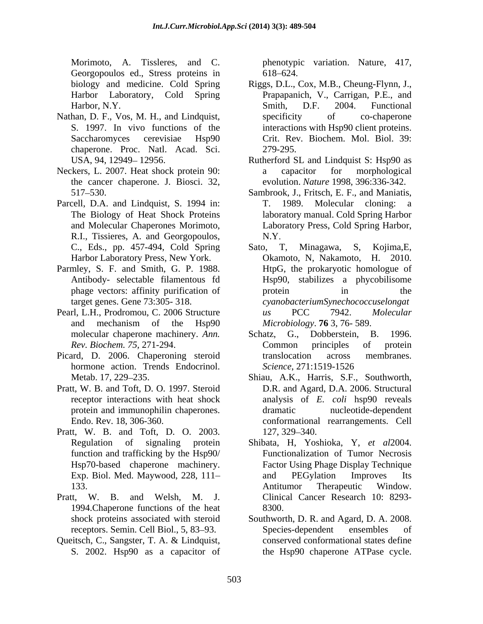Morimoto, A. Tissleres, and C. phenotypic variation. Nature, 417, Georgopoulos ed., Stress proteins in 618–624.

- Nathan, D. F., Vos, M. H., and Lindquist, specificity of co-chaperone chaperone. Proc. Natl. Acad. Sci.
- Neckers, L. 2007. Heat shock protein 90: a capacitor for morphological the cancer chaperone. J. Biosci. 32,
- Parcell, D.A. and Lindquist, S. 1994 in: T. 1989. Molecular cloning: a R.I., Tissieres, A. and Georgopoulos,
- Parmley, S. F. and Smith, G. P. 1988.
- Pearl, L.H., Prodromou, C. 2006 Structure and any RCC and PCC and Molecular
- Picard, D. 2006. Chaperoning steroid hormone action. Trends Endocrinol. Science, 271:1519-1526
- Pratt, W. B. and Toft, D. O. 1997. Steroid
- Pratt, W. B. and Toft, D. O. 2003.
- Pratt, W. B. and Welsh, M. J. 1994.Chaperone functions of the heat
- Queitsch, C., Sangster, T. A. & Lindquist, S. 2002. Hsp90 as a capacitor of the Hsp90 chaperone ATPase cycle.

618 624.

- biology and medicine. Cold Spring Riggs, D.L., Cox, M.B., Cheung-Flynn, J., Harbor Laboratory, Cold Spring Prapapanich, V., Carrigan, P.E., and Harbor, N.Y. Smith, D.F. 2004. Functional S. 1997. In vivo functions of the interactions with Hsp90 client proteins. Saccharomyces cerevisiae Hsp90 Crit. Rev. Biochem. Mol. Biol. 39: Smith, D.F. 2004. Functional specificity of co-chaperone 279-295.
- USA, 94, 12949–12956. Rutherford SL and Lindquist S: Hsp90 as a capacitor for morphological evolution. *Nature* 1998, 396:336-342.
- 517 530. Sambrook, J., Fritsch, E. F., and Maniatis, The Biology of Heat Shock Proteins laboratory manual. Cold Spring Harbor and Molecular Chaperones Morimoto, Laboratory Press, Cold Spring Harbor, T. 1989. Molecular cloning: a N.Y
- C., Eds., pp. 457-494, Cold Spring Sato, T, Minagawa, S, Kojima, E, Harbor Laboratory Press, New York. Ckamoto, N, Nakamoto, H. 2010. Antibody- selectable filamentous fd Hsp90, stabilizes a phycobilisome phage vectors: affinity purification of protein in the target genes. Gene 73:305- 318. *cyanobacteriumSynechococcuselongat* and mechanism of the Hsp90 *Microbiology*. **76** 3, 76-589. Sato, T, Minagawa, Okamoto, N, Nakamoto, HtpG, the prokaryotic homologue of protein in the *us* PCC 7942. *Molecular Microbiology*. **76** 3, 76- 589.
- molecular chaperone machinery. *Ann.* Schatz, G., Dobberstein, B. 1996. *Rev. Biochem. 75,* 271-294. Schatz, G., Dobberstein, B. 1996. Common principles of protein translocation across membranes. *Science*, 271:1519-1526
- Metab. 17, 229 235. Shiau, A.K., Harris, S.F., Southworth, receptor interactions with heat shock analysis of *E. coli* hsp90 reveals protein and immunophilin chaperones. The dramatic environment in the nucleotide-dependent Endo. Rev. 18, 306-360. conformational rearrangements. Cell D.R. and Agard, D.A. 2006. Structural dramatic nucleotide-dependent 127, 329–340.
- Regulation of signaling protein Shibata, H, Yoshioka, Y, *et al*2004. function and trafficking by the Hsp90/ Functionalization of Tumor Necrosis Hsp70-based chaperone machinery. Factor Using Phage Display Technique Exp. Biol. Med. Maywood, 228, 111– and PEGylation Improves Its 133. Antitumor Therapeutic Window. and PEGylation Improves Its Antitumor Therapeutic Window. Clinical Cancer Research 10: 8293-8300.
- shock proteins associated with steroid Southworth, D. R. and Agard, D. A. 2008. receptors. Semin. Cell Biol., 5, 83–93. Species-dependent ensembles of Species-dependent ensembles of conserved conformational states define